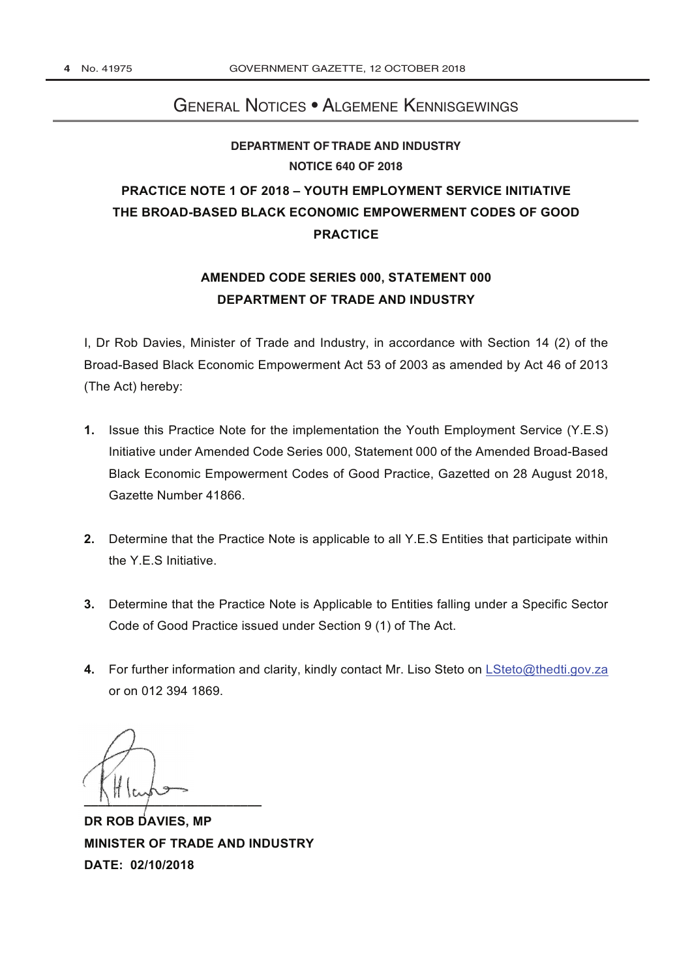## General Notices • Algemene Kennisgewings

## **[DEPARTMENT OF TRADE AND INDUSTRY](http://www.greengazette.co.za/departments/dti) NOTICE 640 OF 2018**

# **PRACTICE NOTE 1 OF 2018 – YOUTH EMPLOYMENT SERVICE INITIATIVE THE BROAD-BASED BLACK ECONOMIC EMPOWERMENT CODES OF GOOD PRACTICE**

# **AMENDED CODE SERIES 000, STATEMENT 000 [DEPARTMENT OF TRADE AND INDUSTRY](http://www.greengazette.co.za/departments/dti)**

I, Dr Rob Davies, Minister of Trade and Industry, in accordance with Section 14 (2) of the [Broad-Based Black Economic Empowerment Act](http://www.greengazette.co.za/acts/broad-based-black-economic-empowerment-act_2003-053) 53 of 2003 as amended by Act 46 of 2013 (The Act) hereby:

- **1.** Issue this Practice Note for the implementation the Youth Employment Service (Y.E.S) Initiative under Amended Code Series 000, Statement 000 of the Amended Broad-Based Black Economic Empowerment Codes of Good Practice, Gazetted on 28 August 2018, Gazette Number 41866.
- **2.** Determine that the Practice Note is applicable to all Y.E.S Entities that participate within the Y.E.S Initiative.
- **3.** Determine that the Practice Note is Applicable to Entities falling under a Specific Sector Code of Good Practice issued under Section 9 (1) of The Act.
- **4.** For further information and clarity, kindly contact Mr. Liso Steto on LSteto@thedti.gov.za or on 012 394 1869.

**\_\_\_\_\_\_\_\_\_\_\_\_\_\_\_\_\_\_\_\_\_\_\_\_\_**

**DR ROB DAVIES, MP MINISTER OF TRADE AND INDUSTRY DATE: 02/10/2018**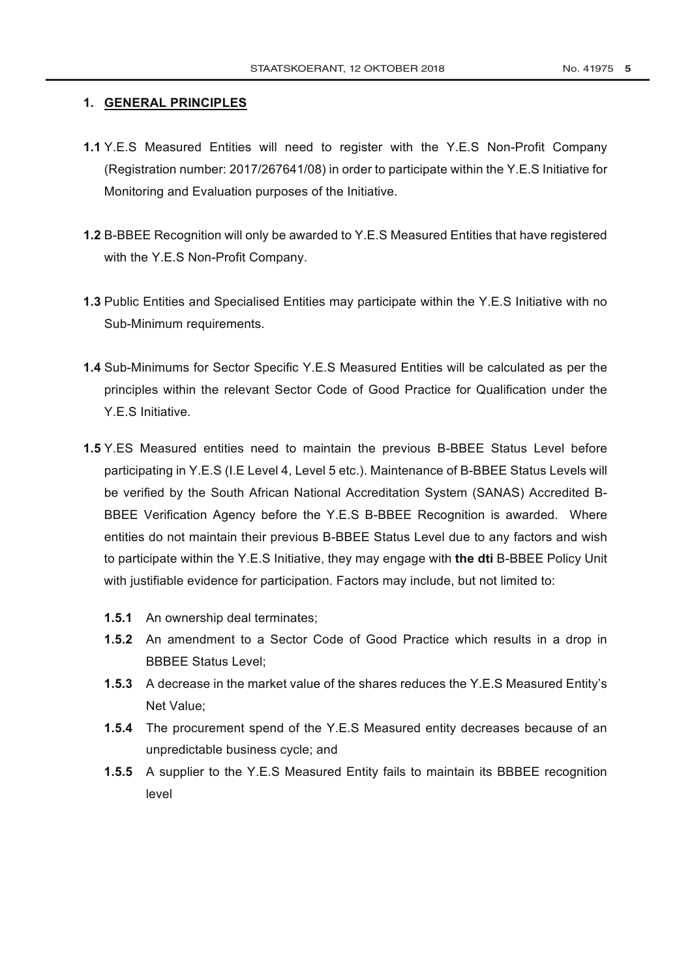### **1. GENERAL PRINCIPLES**

- **1.1** Y.E.S Measured Entities will need to register with the Y.E.S Non-Profit Company (Registration number: 2017/267641/08) in order to participate within the Y.E.S Initiative for Monitoring and Evaluation purposes of the Initiative.
- **1.2** B-BBEE Recognition will only be awarded to Y.E.S Measured Entities that have registered with the Y.E.S Non-Profit Company.
- **1.3** Public Entities and Specialised Entities may participate within the Y.E.S Initiative with no Sub-Minimum requirements.
- **1.4** Sub-Minimums for Sector Specific Y.E.S Measured Entities will be calculated as per the principles within the relevant Sector Code of Good Practice for Qualification under the Y. F. S. Initiative.
- **1.5** Y.ES Measured entities need to maintain the previous B-BBEE Status Level before participating in Y.E.S (I.E Level 4, Level 5 etc.). Maintenance of B-BBEE Status Levels will be verified by the South African National Accreditation System (SANAS) Accredited B-BBEE Verification Agency before the Y.E.S B-BBEE Recognition is awarded. Where entities do not maintain their previous B-BBEE Status Level due to any factors and wish to participate within the Y.E.S Initiative, they may engage with **the dti** B-BBEE Policy Unit with justifiable evidence for participation. Factors may include, but not limited to:
	- **1.5.1** An ownership deal terminates;
	- **1.5.2** An amendment to a Sector Code of Good Practice which results in a drop in BBBEE Status Level;
	- **1.5.3** A decrease in the market value of the shares reduces the Y.E.S Measured Entity's Net Value;
	- **1.5.4** The procurement spend of the Y.E.S Measured entity decreases because of an unpredictable business cycle; and
	- **1.5.5** A supplier to the Y.E.S Measured Entity fails to maintain its BBBEE recognition level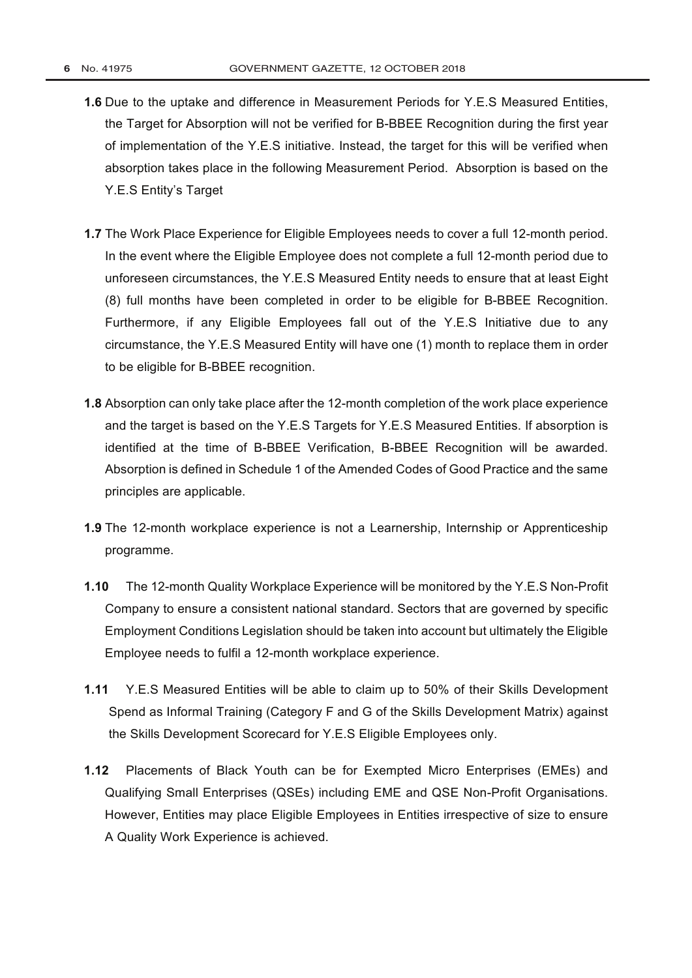- **1.6** Due to the uptake and difference in Measurement Periods for Y.E.S Measured Entities, the Target for Absorption will not be verified for B-BBEE Recognition during the first year of implementation of the Y.E.S initiative. Instead, the target for this will be verified when absorption takes place in the following Measurement Period. Absorption is based on the Y.E.S Entity's Target
- **1.7** The Work Place Experience for Eligible Employees needs to cover a full 12-month period. In the event where the Eligible Employee does not complete a full 12-month period due to unforeseen circumstances, the Y.E.S Measured Entity needs to ensure that at least Eight (8) full months have been completed in order to be eligible for B-BBEE Recognition. Furthermore, if any Eligible Employees fall out of the Y.E.S Initiative due to any circumstance, the Y.E.S Measured Entity will have one (1) month to replace them in order to be eligible for B-BBEE recognition.
- **1.8** Absorption can only take place after the 12-month completion of the work place experience and the target is based on the Y.E.S Targets for Y.E.S Measured Entities. If absorption is identified at the time of B-BBEE Verification, B-BBEE Recognition will be awarded. Absorption is defined in Schedule 1 of the Amended Codes of Good Practice and the same principles are applicable.
- **1.9** The 12-month workplace experience is not a Learnership, Internship or Apprenticeship programme.
- **1.10** The 12-month Quality Workplace Experience will be monitored by the Y.E.S Non-Profit Company to ensure a consistent national standard. Sectors that are governed by specific Employment Conditions Legislation should be taken into account but ultimately the Eligible Employee needs to fulfil a 12-month workplace experience.
- **1.11** Y.E.S Measured Entities will be able to claim up to 50% of their Skills Development Spend as Informal Training (Category F and G of the Skills Development Matrix) against the Skills Development Scorecard for Y.E.S Eligible Employees only.
- **1.12** Placements of Black Youth can be for Exempted Micro Enterprises (EMEs) and Qualifying Small Enterprises (QSEs) including EME and QSE Non-Profit Organisations. However, Entities may place Eligible Employees in Entities irrespective of size to ensure A Quality Work Experience is achieved.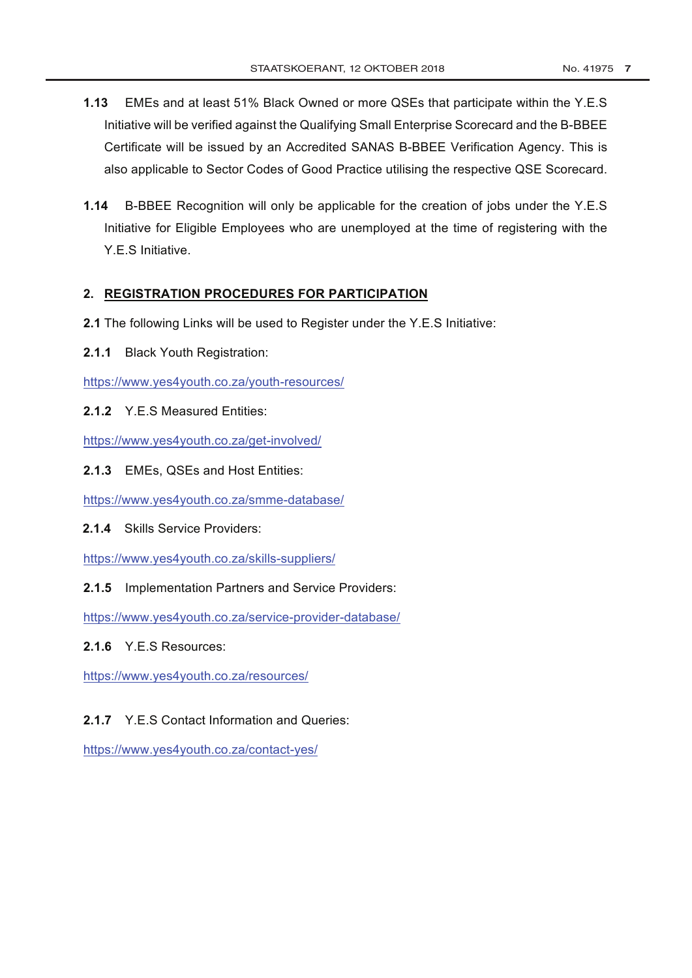- **1.13** EMEs and at least 51% Black Owned or more QSEs that participate within the Y.E.S Initiative will be verified against the Qualifying Small Enterprise Scorecard and the B-BBEE Certificate will be issued by an Accredited SANAS B-BBEE Verification Agency. This is also applicable to Sector Codes of Good Practice utilising the respective QSE Scorecard.
- **1.14** B-BBEE Recognition will only be applicable for the creation of jobs under the Y.E.S Initiative for Eligible Employees who are unemployed at the time of registering with the Y.E.S Initiative.

#### **2. REGISTRATION PROCEDURES FOR PARTICIPATION**

- **2.1** The following Links will be used to Register under the Y.E.S Initiative:
- **2.1.1** Black Youth Registration:

https://www.yes4youth.co.za/youth-resources/

**2.1.2** Y.E.S Measured Entities:

https://www.yes4youth.co.za/get-involved/

**2.1.3** EMEs, QSEs and Host Entities:

https://www.yes4youth.co.za/smme-database/

**2.1.4** Skills Service Providers:

https://www.yes4youth.co.za/skills-suppliers/

**2.1.5** Implementation Partners and Service Providers:

https://www.yes4youth.co.za/service-provider-database/

#### **2.1.6** Y.E.S Resources:

https://www.yes4youth.co.za/resources/

### **2.1.7** Y.E.S Contact Information and Queries:

https://www.yes4youth.co.za/contact-yes/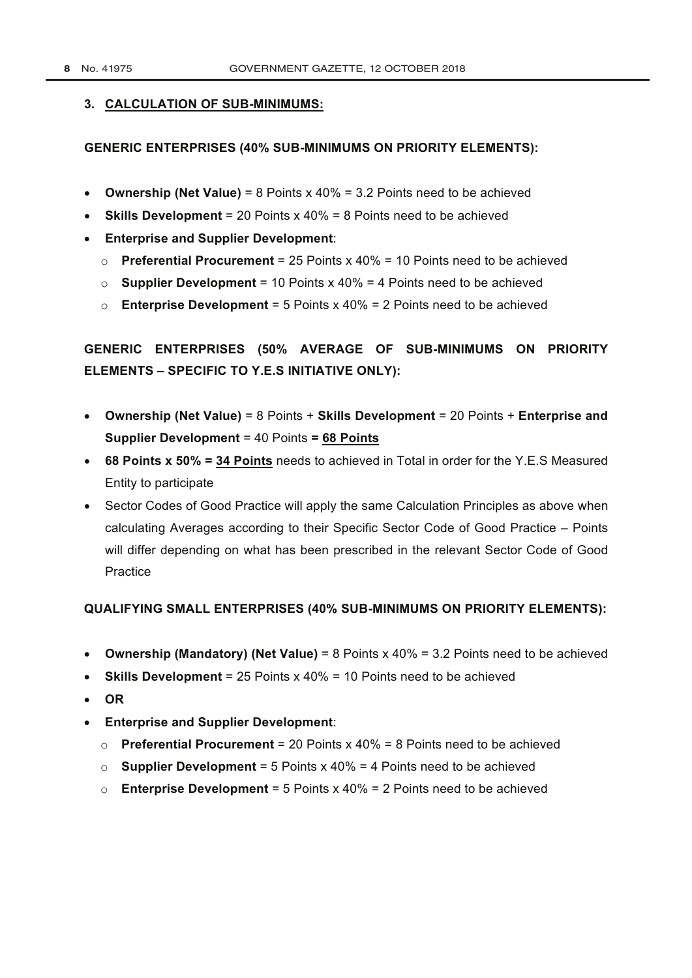#### **3. CALCULATION OF SUB-MINIMUMS:**

#### **GENERIC ENTERPRISES (40% SUB-MINIMUMS ON PRIORITY ELEMENTS):**

- **Ownership (Net Value)** = 8 Points x 40% = 3.2 Points need to be achieved
- **Skills Development** = 20 Points x 40% = 8 Points need to be achieved
- **Enterprise and Supplier Development**:
	- o **Preferential Procurement** = 25 Points x 40% = 10 Points need to be achieved
	- $\circ$  **Supplier Development** = 10 Points x 40% = 4 Points need to be achieved
	- o **Enterprise Development** = 5 Points x 40% = 2 Points need to be achieved

# **GENERIC ENTERPRISES (50% AVERAGE OF SUB-MINIMUMS ON PRIORITY ELEMENTS – SPECIFIC TO Y.E.S INITIATIVE ONLY):**

- **Ownership (Net Value)** = 8 Points + **Skills Development** = 20 Points + **Enterprise and Supplier Development** = 40 Points **= 68 Points**
- **68 Points x 50% = 34 Points** needs to achieved in Total in order for the Y.E.S Measured Entity to participate
- Sector Codes of Good Practice will apply the same Calculation Principles as above when calculating Averages according to their Specific Sector Code of Good Practice – Points will differ depending on what has been prescribed in the relevant Sector Code of Good Practice

#### **QUALIFYING SMALL ENTERPRISES (40% SUB-MINIMUMS ON PRIORITY ELEMENTS):**

- **Ownership (Mandatory) (Net Value)** = 8 Points x 40% = 3.2 Points need to be achieved
- **Skills Development** = 25 Points x 40% = 10 Points need to be achieved
- **OR**
- **Enterprise and Supplier Development**:
	- $\circ$  **Preferential Procurement** = 20 Points x 40% = 8 Points need to be achieved
	- o **Supplier Development** = 5 Points x 40% = 4 Points need to be achieved
	- o **Enterprise Development** = 5 Points x 40% = 2 Points need to be achieved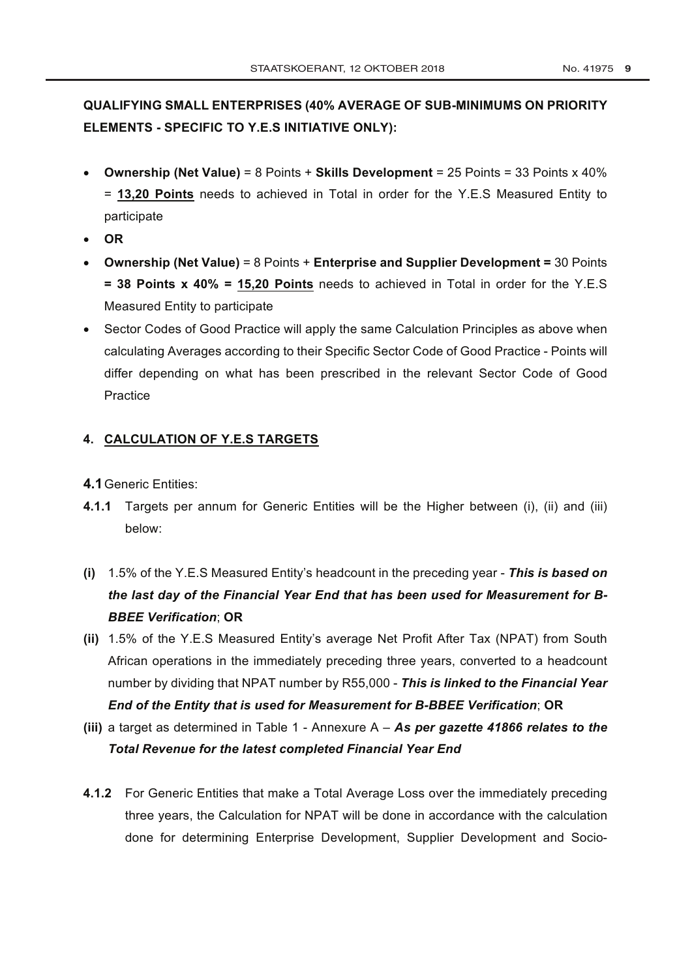# **QUALIFYING SMALL ENTERPRISES (40% AVERAGE OF SUB-MINIMUMS ON PRIORITY ELEMENTS - SPECIFIC TO Y.E.S INITIATIVE ONLY):**

- **Ownership (Net Value)** = 8 Points + **Skills Development** = 25 Points = 33 Points x 40% = **13,20 Points** needs to achieved in Total in order for the Y.E.S Measured Entity to participate
- **OR**
- **Ownership (Net Value)** = 8 Points + **Enterprise and Supplier Development =** 30 Points **= 38 Points x 40% = 15,20 Points** needs to achieved in Total in order for the Y.E.S Measured Entity to participate
- Sector Codes of Good Practice will apply the same Calculation Principles as above when calculating Averages according to their Specific Sector Code of Good Practice - Points will differ depending on what has been prescribed in the relevant Sector Code of Good **Practice**

## **4. CALCULATION OF Y.E.S TARGETS**

- **4.1**Generic Entities:
- **4.1.1** Targets per annum for Generic Entities will be the Higher between (i), (ii) and (iii) below:
- **(i)** 1.5% of the Y.E.S Measured Entity's headcount in the preceding year *This is based on the last day of the Financial Year End that has been used for Measurement for B-BBEE Verification*; **OR**
- **(ii)** 1.5% of the Y.E.S Measured Entity's average Net Profit After Tax (NPAT) from South African operations in the immediately preceding three years, converted to a headcount number by dividing that NPAT number by R55,000 - *This is linked to the Financial Year End of the Entity that is used for Measurement for B-BBEE Verification*; **OR**
- **(iii)** a target as determined in Table 1 Annexure A *As per gazette 41866 relates to the Total Revenue for the latest completed Financial Year End*
- **4.1.2** For Generic Entities that make a Total Average Loss over the immediately preceding three years, the Calculation for NPAT will be done in accordance with the calculation done for determining Enterprise Development, Supplier Development and Socio-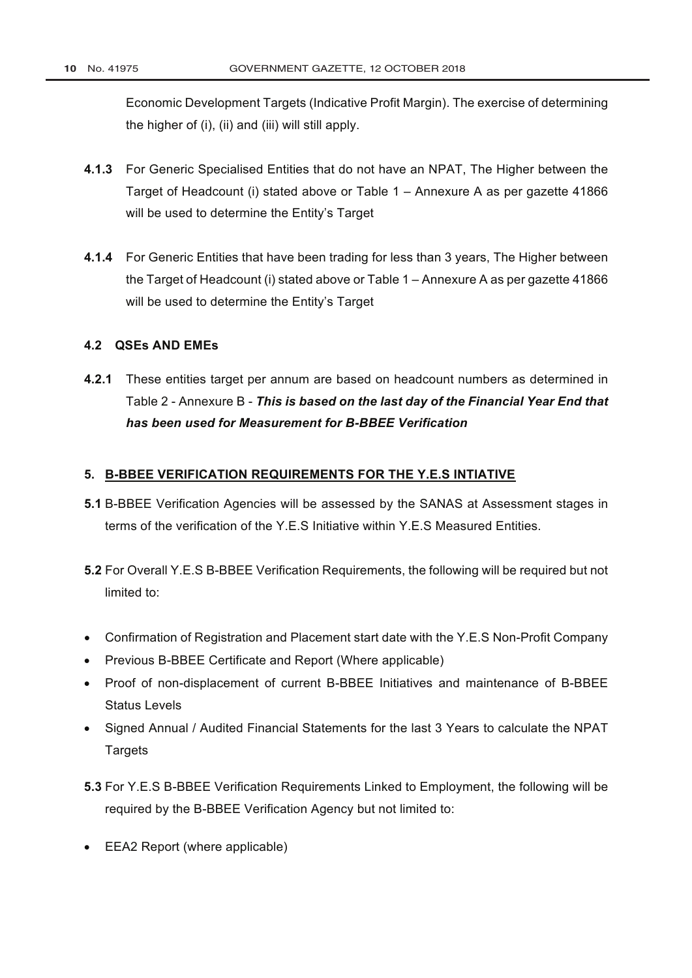Economic Development Targets (Indicative Profit Margin). The exercise of determining the higher of (i), (ii) and (iii) will still apply.

- **4.1.3** For Generic Specialised Entities that do not have an NPAT, The Higher between the Target of Headcount (i) stated above or Table 1 – Annexure A as per gazette 41866 will be used to determine the Entity's Target
- **4.1.4** For Generic Entities that have been trading for less than 3 years, The Higher between the Target of Headcount (i) stated above or Table 1 – Annexure A as per gazette 41866 will be used to determine the Entity's Target

### **4.2 QSEs AND EMEs**

**4.2.1** These entities target per annum are based on headcount numbers as determined in Table 2 - Annexure B - *This is based on the last day of the Financial Year End that has been used for Measurement for B-BBEE Verification*

### **5. B-BBEE VERIFICATION REQUIREMENTS FOR THE Y.E.S INTIATIVE**

- **5.1** B-BBEE Verification Agencies will be assessed by the SANAS at Assessment stages in terms of the verification of the Y.E.S Initiative within Y.E.S Measured Entities.
- **5.2** For Overall Y.E.S B-BBEE Verification Requirements, the following will be required but not limited to:
- Confirmation of Registration and Placement start date with the Y.E.S Non-Profit Company
- Previous B-BBEE Certificate and Report (Where applicable)
- Proof of non-displacement of current B-BBEE Initiatives and maintenance of B-BBEE Status Levels
- Signed Annual / Audited Financial Statements for the last 3 Years to calculate the NPAT **Targets**
- **5.3** For Y.E.S B-BBEE Verification Requirements Linked to Employment, the following will be required by the B-BBEE Verification Agency but not limited to:
- EEA2 Report (where applicable)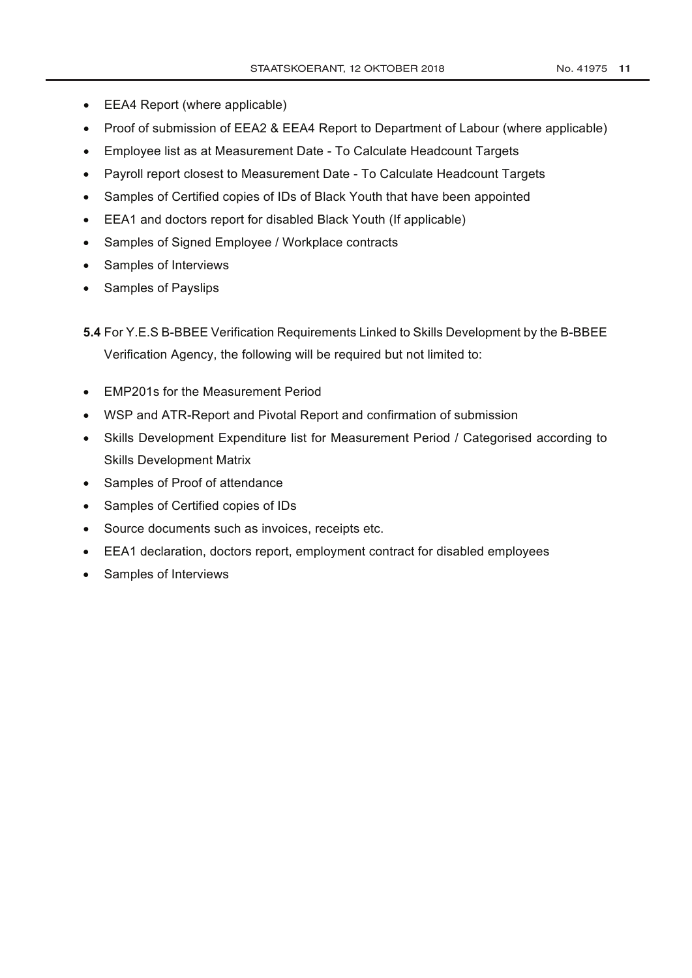- EEA4 Report (where applicable)
- Proof of submission of EEA2 & EEA4 Report to [Department of Labour](http://www.greengazette.co.za/departments/labour) (where applicable)
- Employee list as at Measurement Date To Calculate Headcount Targets
- Payroll report closest to Measurement Date To Calculate Headcount Targets
- Samples of Certified copies of IDs of Black Youth that have been appointed
- EEA1 and doctors report for disabled Black Youth (If applicable)
- Samples of Signed Employee / Workplace contracts
- Samples of Interviews
- Samples of Payslips

**5.4** For Y.E.S B-BBEE Verification Requirements Linked to Skills Development by the B-BBEE Verification Agency, the following will be required but not limited to:

- EMP201s for the Measurement Period
- WSP and ATR-Report and Pivotal Report and confirmation of submission
- Skills Development Expenditure list for Measurement Period / Categorised according to Skills Development Matrix
- Samples of Proof of attendance
- Samples of Certified copies of IDs
- Source documents such as invoices, receipts etc.
- EEA1 declaration, doctors report, employment contract for disabled employees
- Samples of Interviews